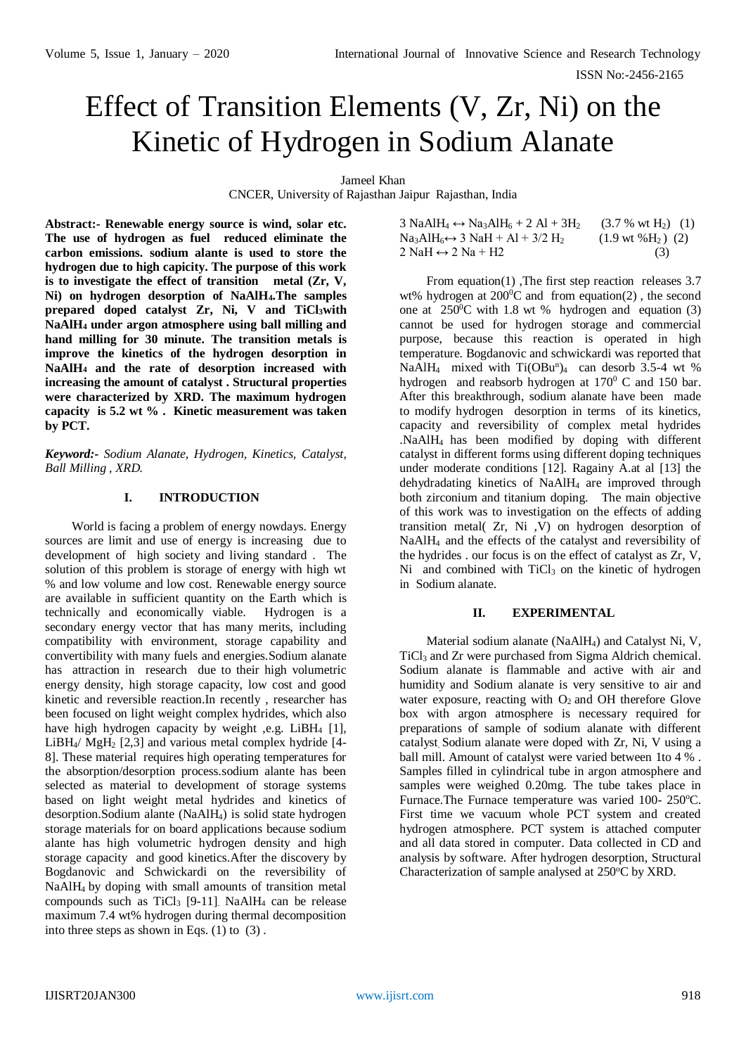# Effect of Transition Elements (V, Zr, Ni) on the Kinetic of Hydrogen in Sodium Alanate

Jameel Khan

CNCER, University of Rajasthan Jaipur Rajasthan, India

**Abstract:- Renewable energy source is wind, solar etc. The use of hydrogen as fuel reduced eliminate the carbon emissions. sodium alante is used to store the hydrogen due to high capicity. The purpose of this work is to investigate the effect of transition metal (Zr, V, Ni) on hydrogen desorption of NaAlH4.The samples prepared doped catalyst Zr, Ni, V and TiCl3with NaAlH<sup>4</sup> under argon atmosphere using ball milling and hand milling for 30 minute. The transition metals is improve the kinetics of the hydrogen desorption in NaAlH<sup>4</sup> and the rate of desorption increased with increasing the amount of catalyst . Structural properties were characterized by XRD. The maximum hydrogen capacity is 5.2 wt % . Kinetic measurement was taken by PCT.** 

*Keyword:- Sodium Alanate, Hydrogen, Kinetics, Catalyst, Ball Milling , XRD.*

## **I. INTRODUCTION**

World is facing a problem of energy nowdays. Energy sources are limit and use of energy is increasing due to development of high society and living standard . The solution of this problem is storage of energy with high wt % and low volume and low cost. Renewable energy source are available in sufficient quantity on the Earth which is technically and economically viable. Hydrogen is a secondary energy vector that has many merits, including compatibility with environment, storage capability and convertibility with many fuels and energies.Sodium alanate has attraction in research due to their high volumetric energy density, high storage capacity, low cost and good kinetic and reversible reaction.In recently , researcher has been focused on light weight complex hydrides, which also have high hydrogen capacity by weight ,e.g. LiBH<sub>4</sub> [1], LiBH4/ MgH<sup>2</sup> [2,3] and various metal complex hydride [4- 8]. These material requires high operating temperatures for the absorption/desorption process.sodium alante has been selected as material to development of storage systems based on light weight metal hydrides and kinetics of desorption.Sodium alante (NaAlH4) is solid state hydrogen storage materials for on board applications because sodium alante has high volumetric hydrogen density and high storage capacity and good kinetics.After the discovery by Bogdanovic and Schwickardi on the reversibility of NaAlH4 by doping with small amounts of transition metal compounds such as  $TiCl<sub>3</sub>$  [9-11]. NaAlH<sub>4</sub> can be release maximum 7.4 wt% hydrogen during thermal decomposition into three steps as shown in Eqs.  $(1)$  to  $(3)$ .

| 3 NaAlH <sub>4</sub> $\leftrightarrow$ Na <sub>3</sub> AlH <sub>6</sub> + 2 Al + 3H <sub>2</sub> | $(3.7 % wt H2)$ (1)          |
|--------------------------------------------------------------------------------------------------|------------------------------|
| $Na_3AlH_6 \leftrightarrow 3 NaH + Al + 3/2 H_2$                                                 | $(1.9 \text{ wt } %9)$ $(2)$ |
| 2 NaH $\leftrightarrow$ 2 Na + H2                                                                | (3)                          |

From equation(1) ,The first step reaction releases 3.7 wt% hydrogen at  $200^{\circ}$ C and from equation(2), the second one at  $250^{\circ}$ C with 1.8 wt % hydrogen and equation (3) cannot be used for hydrogen storage and commercial purpose, because this reaction is operated in high temperature. Bogdanovic and schwickardi was reported that NaAlH<sub>4</sub> mixed with  $Ti(OBu<sup>n</sup>)<sub>4</sub>$  can desorb 3.5-4 wt % hydrogen and reabsorb hydrogen at 170<sup>0</sup> C and 150 bar. After this breakthrough, sodium alanate have been made to modify hydrogen desorption in terms of its kinetics, capacity and reversibility of complex metal hydrides .NaAlH<sup>4</sup> has been modified by doping with different catalyst in different forms using different doping techniques under moderate conditions [12]. Ragainy A.at al [13] the dehydradating kinetics of NaAlH<sup>4</sup> are improved through both zirconium and titanium doping. The main objective of this work was to investigation on the effects of adding transition metal( Zr, Ni ,V) on hydrogen desorption of NaAlH4 and the effects of the catalyst and reversibility of the hydrides . our focus is on the effect of catalyst as Zr, V,  $Ni$  and combined with  $TiCl<sub>3</sub>$  on the kinetic of hydrogen in Sodium alanate.

## **II. EXPERIMENTAL**

Material sodium alanate (NaAlH4) and Catalyst Ni, V, TiCl<sup>3</sup> and Zr were purchased from Sigma Aldrich chemical. Sodium alanate is flammable and active with air and humidity and Sodium alanate is very sensitive to air and water exposure, reacting with  $O_2$  and OH therefore Glove box with argon atmosphere is necessary required for preparations of sample of sodium alanate with different catalyst. Sodium alanate were doped with Zr, Ni, V using a ball mill. Amount of catalyst were varied between 1to 4 % . Samples filled in cylindrical tube in argon atmosphere and samples were weighed 0.20mg. The tube takes place in Furnace.The Furnace temperature was varied 100- 250°C. First time we vacuum whole PCT system and created hydrogen atmosphere. PCT system is attached computer and all data stored in computer. Data collected in CD and analysis by software. After hydrogen desorption, Structural Characterization of sample analysed at  $250^{\circ}$ C by XRD.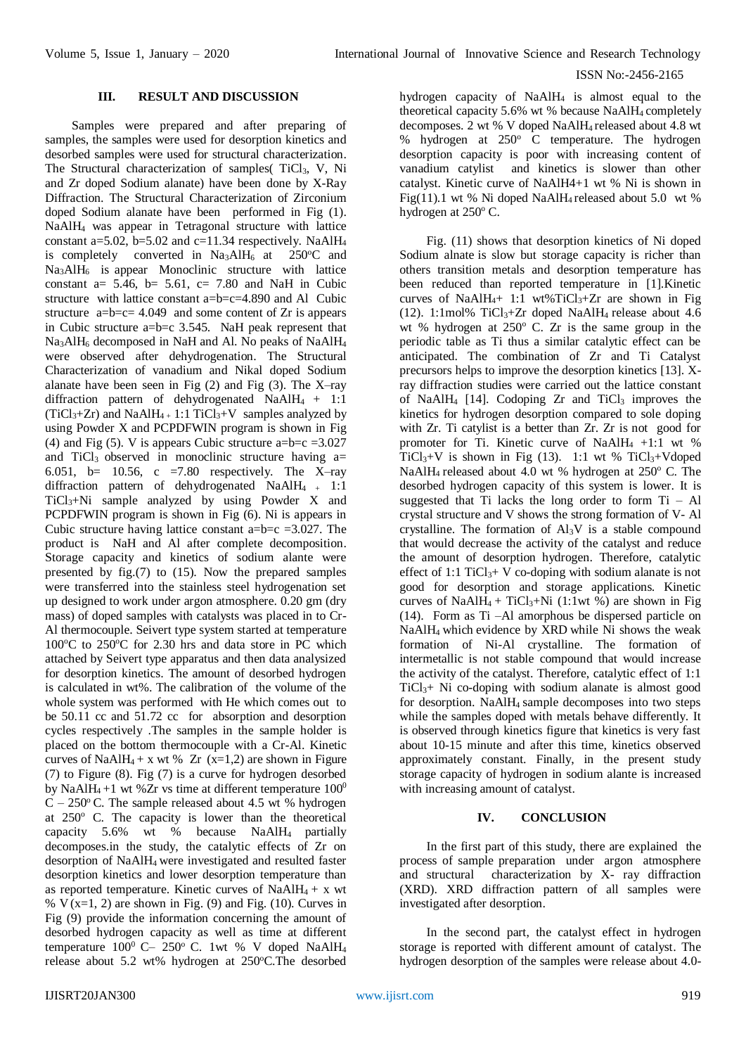#### ISSN No:-2456-2165

## **III. RESULT AND DISCUSSION**

Samples were prepared and after preparing of samples, the samples were used for desorption kinetics and desorbed samples were used for structural characterization. The Structural characterization of samples( TiCl<sub>3</sub>, V, Ni and Zr doped Sodium alanate) have been done by X-Ray Diffraction. The Structural Characterization of Zirconium doped Sodium alanate have been performed in Fig (1). NaAlH<sup>4</sup> was appear in Tetragonal structure with lattice constant a=5.02, b=5.02 and c=11.34 respectively. NaAlH<sub>4</sub> is completely converted in  $Na<sub>3</sub>AIH<sub>6</sub>$  at 250°C and  $Na<sub>3</sub>AIH<sub>6</sub>$  is appear Monoclinic structure with lattice constant  $a= 5.46$ ,  $b= 5.61$ ,  $c= 7.80$  and NaH in Cubic structure with lattice constant a=b=c=4.890 and Al Cubic structure  $a=b=c=4.049$  and some content of Zr is appears in Cubic structure a=b=c 3.545. NaH peak represent that Na<sub>3</sub>AlH<sub>6</sub> decomposed in NaH and Al. No peaks of NaAlH<sub>4</sub> were observed after dehydrogenation. The Structural Characterization of vanadium and Nikal doped Sodium alanate have been seen in Fig  $(2)$  and Fig  $(3)$ . The X-ray diffraction pattern of dehydrogenated NaAlH4 + 1:1  $(TiCl<sub>3</sub>+Zr)$  and NaAlH<sub>4</sub> + 1:1 TiCl<sub>3</sub>+V samples analyzed by using Powder X and PCPDFWIN program is shown in Fig (4) and Fig (5). V is appears Cubic structure a= $b=c = 3.027$ and TiCl<sub>3</sub> observed in monoclinic structure having  $a=$ 6.051, b= 10.56, c = 7.80 respectively. The X-ray diffraction pattern of dehydrogenated NaAlH<sub>4</sub> + 1:1 TiCl3+Ni sample analyzed by using Powder X and PCPDFWIN program is shown in Fig (6). Ni is appears in Cubic structure having lattice constant  $a=b=c =3.027$ . The product is NaH and Al after complete decomposition. Storage capacity and kinetics of sodium alante were presented by fig.(7) to (15). Now the prepared samples were transferred into the stainless steel hydrogenation set up designed to work under argon atmosphere. 0.20 gm (dry mass) of doped samples with catalysts was placed in to Cr-Al thermocouple. Seivert type system started at temperature  $100^{\circ}$ C to  $250^{\circ}$ C for 2.30 hrs and data store in PC which attached by Seivert type apparatus and then data analysized for desorption kinetics. The amount of desorbed hydrogen is calculated in wt%. The calibration of the volume of the whole system was performed with He which comes out to be 50.11 cc and 51.72 cc for absorption and desorption cycles respectively .The samples in the sample holder is placed on the bottom thermocouple with a Cr-Al. Kinetic curves of NaAlH<sub>4</sub> + x wt % Zr (x=1,2) are shown in Figure (7) to Figure (8). Fig (7) is a curve for hydrogen desorbed by NaAlH<sub>4</sub> +1 wt %Zr vs time at different temperature  $100^0$  $\overrightarrow{C}$  – 250° C. The sample released about 4.5 wt % hydrogen at  $250^{\circ}$  C. The capacity is lower than the theoretical capacity 5.6% wt % because NaAlH4 partially decomposes.in the study, the catalytic effects of Zr on desorption of NaAlH4 were investigated and resulted faster desorption kinetics and lower desorption temperature than as reported temperature. Kinetic curves of NaAl $H_4$  + x wt %  $V(x=1, 2)$  are shown in Fig. (9) and Fig. (10). Curves in Fig (9) provide the information concerning the amount of desorbed hydrogen capacity as well as time at different temperature  $100^0$  C-  $250^{\circ}$  C. 1wt % V doped NaAlH<sub>4</sub> release about 5.2 wt% hydrogen at 250°C.The desorbed

hydrogen capacity of NaAlH<sup>4</sup> is almost equal to the theoretical capacity 5.6% wt % because NaAlH<sub>4</sub> completely decomposes. 2 wt % V doped NaAlH4 released about 4.8 wt % hydrogen at  $250^\circ$  C temperature. The hydrogen desorption capacity is poor with increasing content of vanadium catylist and kinetics is slower than other catalyst. Kinetic curve of NaAlH4+1 wt % Ni is shown in Fig(11).1 wt % Ni doped NaAlH4 released about 5.0 wt % hydrogen at 250°C.

Fig. (11) shows that desorption kinetics of Ni doped Sodium alnate is slow but storage capacity is richer than others transition metals and desorption temperature has been reduced than reported temperature in [1].Kinetic curves of NaAlH<sub>4</sub>+ 1:1 wt%TiCl<sub>3</sub>+Zr are shown in Fig (12). 1:1mol% TiCl<sub>3</sub>+Zr doped NaAlH<sub>4</sub> release about 4.6 wt % hydrogen at  $250^{\circ}$  C. Zr is the same group in the periodic table as Ti thus a similar catalytic effect can be anticipated. The combination of Zr and Ti Catalyst precursors helps to improve the desorption kinetics [13]. Xray diffraction studies were carried out the lattice constant of NaAlH<sub>4</sub> [14]. Codoping  $Zr$  and TiCl<sub>3</sub> improves the kinetics for hydrogen desorption compared to sole doping with Zr. Ti catylist is a better than Zr. Zr is not good for promoter for Ti. Kinetic curve of NaAlH<sub>4</sub> +1:1 wt % TiCl<sub>3</sub>+V is shown in Fig (13). 1:1 wt % TiCl<sub>3</sub>+Vdoped NaAlH<sub>4</sub> released about 4.0 wt % hydrogen at  $250^{\circ}$  C. The desorbed hydrogen capacity of this system is lower. It is suggested that Ti lacks the long order to form  $Ti - Al$ crystal structure and V shows the strong formation of V- Al crystalline. The formation of  $Al<sub>3</sub>V$  is a stable compound that would decrease the activity of the catalyst and reduce the amount of desorption hydrogen. Therefore, catalytic effect of 1:1 TiCl<sub>3</sub>+ V co-doping with sodium alanate is not good for desorption and storage applications. Kinetic curves of NaAlH<sub>4</sub> + TiCl<sub>3</sub>+Ni (1:1wt %) are shown in Fig. (14). Form as Ti –Al amorphous be dispersed particle on NaAlH4 which evidence by XRD while Ni shows the weak formation of Ni-Al crystalline. The formation of intermetallic is not stable compound that would increase the activity of the catalyst. Therefore, catalytic effect of 1:1  $TiCl<sub>3</sub> + Ni$  co-doping with sodium alanate is almost good for desorption. NaAlH4 sample decomposes into two steps while the samples doped with metals behave differently. It is observed through kinetics figure that kinetics is very fast about 10-15 minute and after this time, kinetics observed approximately constant. Finally, in the present study storage capacity of hydrogen in sodium alante is increased with increasing amount of catalyst.

## **IV. CONCLUSION**

In the first part of this study, there are explained the process of sample preparation under argon atmosphere and structural characterization by X- ray diffraction (XRD). XRD diffraction pattern of all samples were investigated after desorption.

In the second part, the catalyst effect in hydrogen storage is reported with different amount of catalyst. The hydrogen desorption of the samples were release about 4.0-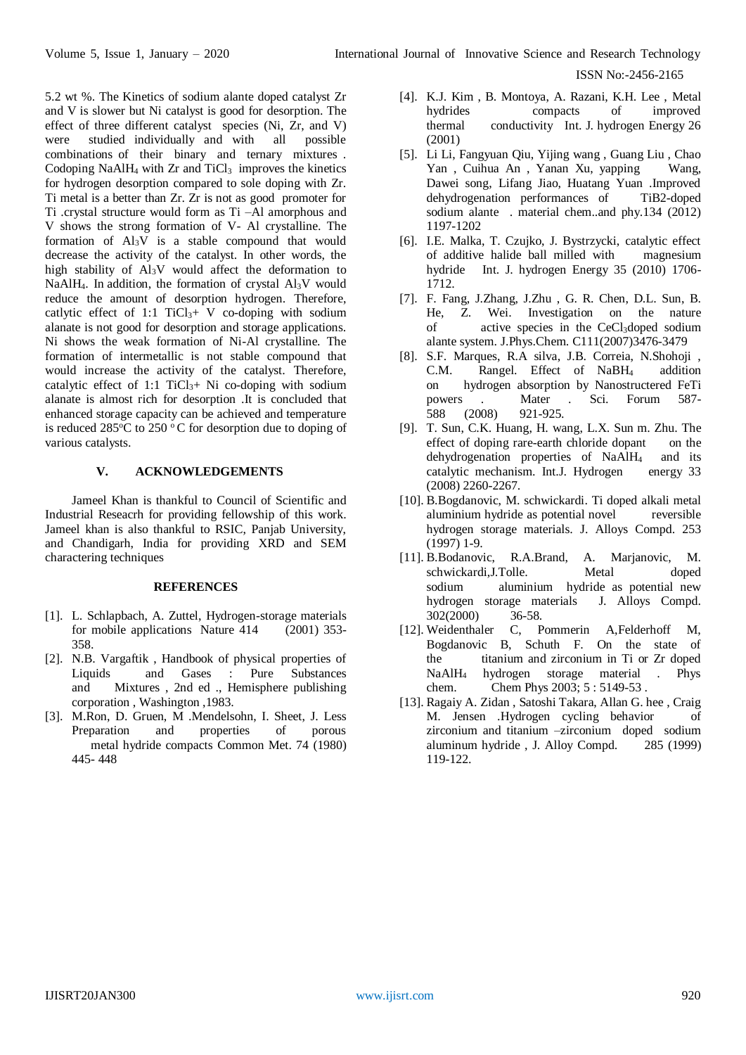ISSN No:-2456-2165

5.2 wt %. The Kinetics of sodium alante doped catalyst Zr and V is slower but Ni catalyst is good for desorption. The effect of three different catalyst species (Ni, Zr, and V) were studied individually and with all possible combinations of their binary and ternary mixtures . Codoping NaAlH<sub>4</sub> with  $Zr$  and TiCl<sub>3</sub> improves the kinetics for hydrogen desorption compared to sole doping with Zr. Ti metal is a better than Zr. Zr is not as good promoter for Ti .crystal structure would form as Ti –Al amorphous and V shows the strong formation of V- Al crystalline. The formation of  $Al_3V$  is a stable compound that would decrease the activity of the catalyst. In other words, the high stability of Al3V would affect the deformation to NaAlH<sub>4</sub>. In addition, the formation of crystal Al<sub>3</sub>V would reduce the amount of desorption hydrogen. Therefore, catlytic effect of 1:1  $TiCl<sub>3</sub>+ V$  co-doping with sodium alanate is not good for desorption and storage applications. Ni shows the weak formation of Ni-Al crystalline. The formation of intermetallic is not stable compound that would increase the activity of the catalyst. Therefore, catalytic effect of 1:1  $TiCl<sub>3</sub> + Ni$  co-doping with sodium alanate is almost rich for desorption .It is concluded that enhanced storage capacity can be achieved and temperature is reduced  $285^{\circ}$ C to  $250^{\circ}$ C for desorption due to doping of various catalysts.

# **V. ACKNOWLEDGEMENTS**

Jameel Khan is thankful to Council of Scientific and Industrial Reseacrh for providing fellowship of this work. Jameel khan is also thankful to RSIC, Panjab University, and Chandigarh, India for providing XRD and SEM charactering techniques

#### **REFERENCES**

- [1]. L. Schlapbach, A. Zuttel, [Hydrogen-storage materials](http://www.nature.com/nature/journal/v414/n6861/abs/414353a0.html)  [for mobile applications](http://www.nature.com/nature/journal/v414/n6861/abs/414353a0.html) Nature 414 (2001) 353- 358.
- [2]. N.B. Vargaftik , Handbook of physical properties of Liquids and Gases : Pure Substances and Mixtures , 2nd ed ., Hemisphere publishing corporation , Washington ,1983.
- [3]. M.Ron, D. Gruen, M .Mendelsohn, I. Sheet, J. Less Preparation and properties of porous metal hydride compacts Common Met. 74 (1980) 445- 448
- [4]. K.J. Kim , B. Montoya, A. Razani, K.H. Lee , Metal hydrides compacts of improved thermal conductivity Int. J. hydrogen Energy 26 (2001)
- [5]. Li Li, Fangyuan Qiu, Yijing wang , Guang Liu , Chao Yan , Cuihua An , Yanan Xu, yapping Wang, Dawei song, Lifang Jiao, Huatang Yuan .Improved dehydrogenation performances of TiB2-doped sodium alante . material chem..and phy.134 (2012) 1197-1202
- [6]. I.E. Malka, T. Czujko, J. Bystrzycki, catalytic effect of additive halide ball milled with magnesium hydride Int. J. hydrogen Energy 35 (2010) 1706- 1712.
- [7]. F. Fang, J.Zhang, J.Zhu , G. R. Chen, D.L. Sun, B. He, Z. Wei. Investigation on the nature of active species in the CeCl3doped sodium alante system. J.Phys.Chem. C111(2007)3476-3479
- [8]. S.F. Marques, R.A silva, J.B. Correia, N.Shohoji , C.M. Rangel. Effect of NaBH4 addition on hydrogen absorption by Nanostructered FeTi powers . Mater . Sci. Forum 587- 588 (2008) 921-925.
- [9]. T. Sun, C.K. Huang, H. wang, L.X. Sun m. Zhu. The effect of doping rare-earth chloride dopant on the dehydrogenation properties of NaAlH4 and its catalytic mechanism. Int.J. Hydrogen energy 33 (2008) 2260-2267.
- [10]. B.Bogdanovic, M. schwickardi. Ti doped alkali metal aluminium hydride as potential novel reversible hydrogen storage materials. J. Alloys Compd. 253 (1997) 1-9.
- [11]. B.Bodanovic, R.A.Brand, A. Marjanovic, M. schwickardi,J.Tolle. Metal doped sodium aluminium hydride as potential new hydrogen storage materials J. Alloys Compd. 302(2000) 36-58.
- [12]. Weidenthaler C, Pommerin A,Felderhoff M, Bogdanovic B, Schuth F. On the state of the titanium and zirconium in Ti or Zr doped NaAlH<sup>4</sup> hydrogen storage material . Phys chem. Chem Phys 2003; 5 : 5149-53 .
- [13]. Ragaiy A. Zidan , Satoshi Takara, Allan G. hee , Craig M. Jensen .Hydrogen cycling behavior of zirconium and titanium –zirconium doped sodium aluminum hydride , J. Alloy Compd. 285 (1999) 119-122.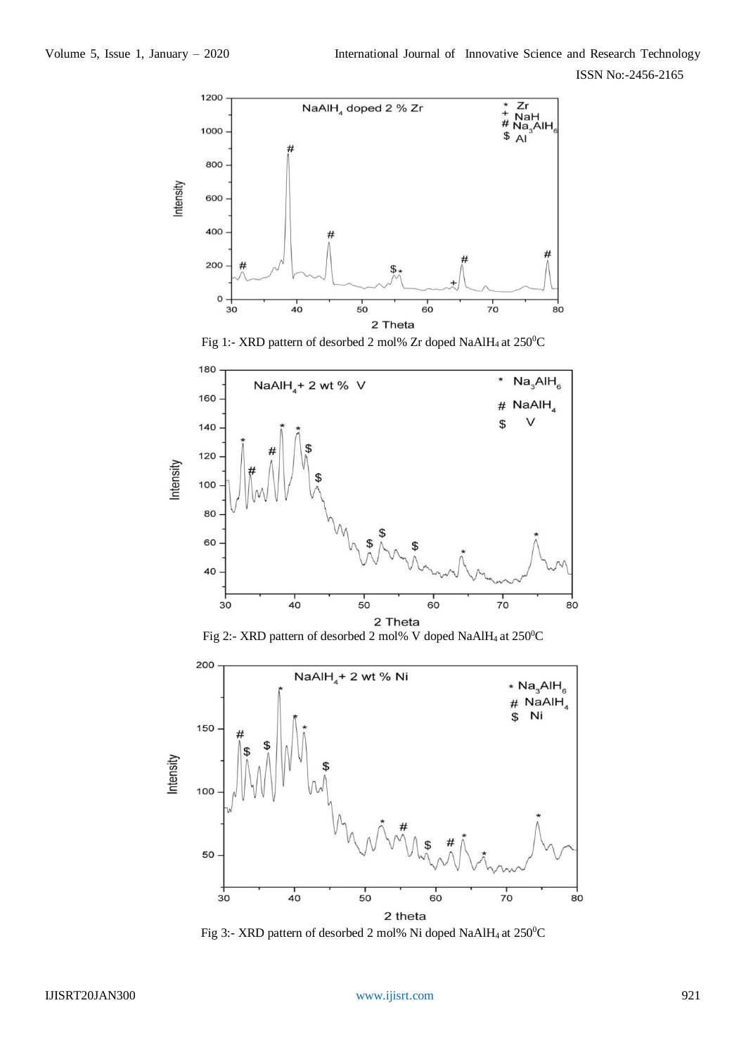ISSN No:-2456-2165









Fig 3:- XRD pattern of desorbed 2 mol% Ni doped NaAlH<sub>4</sub> at  $250^{\circ}$ C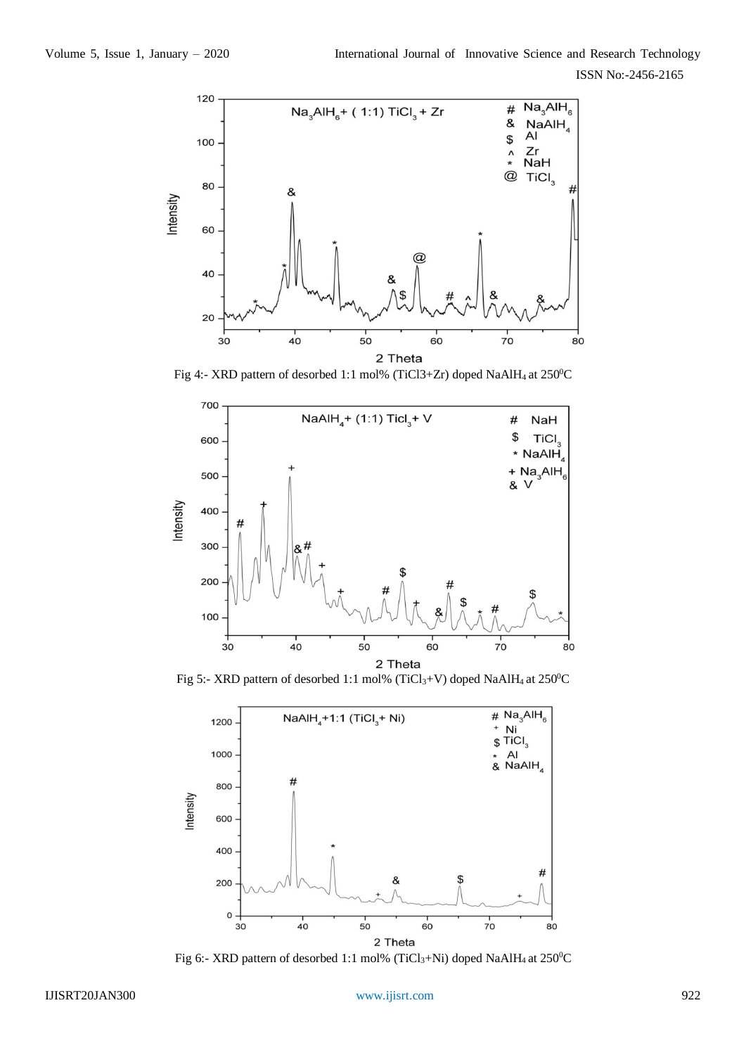

Fig 4:- XRD pattern of desorbed 1:1 mol% (TiCl3+Zr) doped NaAlH<sub>4</sub> at  $250^{\circ}$ C



Fig 5:- XRD pattern of desorbed 1:1 mol% (TiCl<sub>3</sub>+V) doped NaAlH<sub>4</sub> at 250<sup>0</sup>C



Fig 6:- XRD pattern of desorbed 1:1 mol% (TiCl<sub>3</sub>+Ni) doped NaAlH<sub>4</sub> at 250<sup>0</sup>C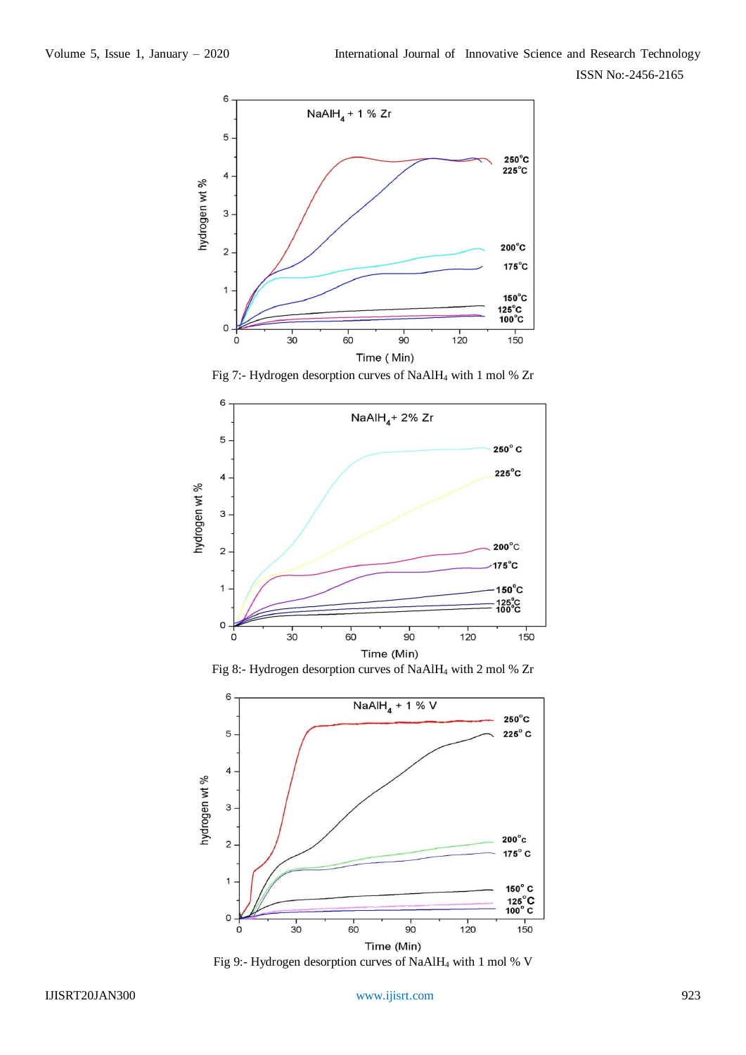

Fig 7:- Hydrogen desorption curves of NaAlH<sup>4</sup> with 1 mol % Zr



Fig 8:- Hydrogen desorption curves of NaAlH<sup>4</sup> with 2 mol % Zr



Fig 9:- Hydrogen desorption curves of NaAlH<sup>4</sup> with 1 mol % V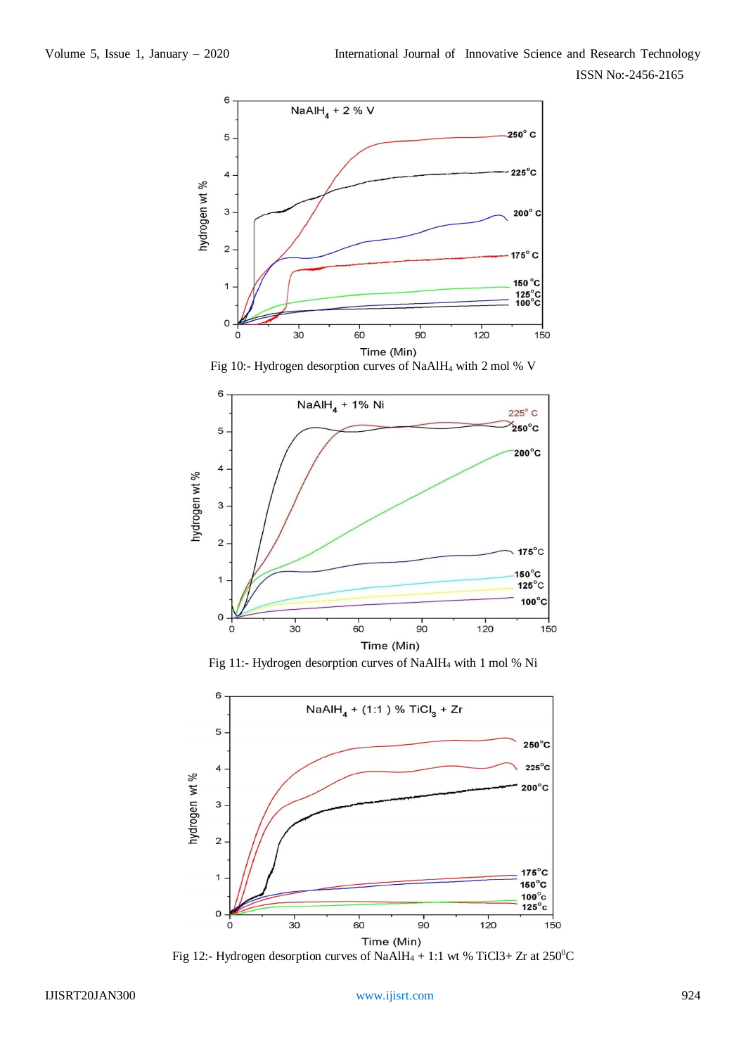

Fig 10:- Hydrogen desorption curves of NaAlH<sup>4</sup> with 2 mol % V



Fig 11:- Hydrogen desorption curves of NaAlH<sup>4</sup> with 1 mol % Ni



Fig 12:- Hydrogen desorption curves of NaAlH<sub>4</sub> + 1:1 wt % TiCl3+ Zr at 250<sup>o</sup>C